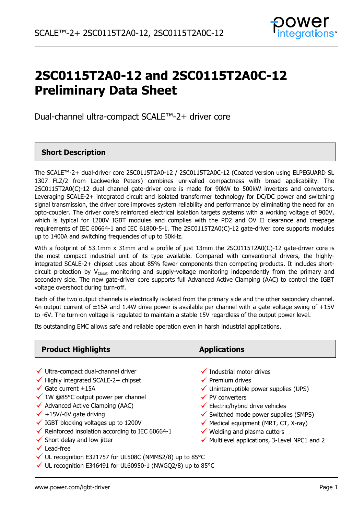

# **2SC0115T2A0-12 and 2SC0115T2A0C-12 Preliminary Data Sheet**

Dual-channel ultra-compact SCALE™-2+ driver core

## **Short Description**

The SCALE™-2+ dual-driver core 2SC0115T2A0-12 / 2SC0115T2A0C-12 (Coated version using ELPEGUARD SL 1307 FLZ/2 from Lackwerke Peters) combines unrivalled compactness with broad applicability. The 2SC0115T2A0(C)-12 dual channel gate-driver core is made for 90kW to 500kW inverters and converters. Leveraging SCALE-2+ integrated circuit and isolated transformer technology for DC/DC power and switching signal transmission, the driver core improves system reliability and performance by eliminating the need for an opto-coupler. The driver core's reinforced electrical isolation targets systems with a working voltage of 900V, which is typical for 1200V IGBT modules and complies with the PD2 and OV II clearance and creepage requirements of IEC 60664-1 and IEC 61800-5-1. The 2SC0115T2A0(C)-12 gate-driver core supports modules up to 1400A and switching frequencies of up to 50kHz.

With a footprint of 53.1mm x 31mm and a profile of just 13mm the 2SC0115T2A0(C)-12 gate-driver core is the most compact industrial unit of its type available. Compared with conventional drivers, the highlyintegrated SCALE-2+ chipset uses about 85% fewer components than competing products. It includes shortcircuit protection by  $V_{CFSat}$  monitoring and supply-voltage monitoring independently from the primary and secondary side. The new gate-driver core supports full Advanced Active Clamping (AAC) to control the IGBT voltage overshoot during turn-off.

Each of the two output channels is electrically isolated from the primary side and the other secondary channel. An output current of ±15A and 1.4W drive power is available per channel with a gate voltage swing of +15V to -6V. The turn-on voltage is regulated to maintain a stable 15V regardless of the output power level.

Its outstanding EMC allows safe and reliable operation even in harsh industrial applications.

| <b>Product Highlights</b>                                                                                                                                                                                                                                                                                                                                                                                                         | <b>Applications</b>                                                                                                                                                                                                                                                                                                                                                                                                 |
|-----------------------------------------------------------------------------------------------------------------------------------------------------------------------------------------------------------------------------------------------------------------------------------------------------------------------------------------------------------------------------------------------------------------------------------|---------------------------------------------------------------------------------------------------------------------------------------------------------------------------------------------------------------------------------------------------------------------------------------------------------------------------------------------------------------------------------------------------------------------|
| √ Ultra-compact dual-channel driver<br>$\checkmark$ Highly integrated SCALE-2+ chipset<br>$\checkmark$ Gate current $\pm$ 15A<br>$\checkmark$ 1W @85°C output power per channel<br>$\checkmark$ Advanced Active Clamping (AAC)<br>$\checkmark$ +15V/-6V gate driving<br>$\checkmark$ IGBT blocking voltages up to 1200V<br>$\checkmark$ Reinforced insolation according to IEC 60664-1<br>$\checkmark$ Short delay and low jitter | $\checkmark$ Industrial motor drives<br>$\checkmark$ Premium drives<br>$\checkmark$ Uninterruptible power supplies (UPS)<br>$\checkmark$ PV converters<br>$\checkmark$ Electric/hybrid drive vehicles<br>$\checkmark$ Switched mode power supplies (SMPS)<br>$\checkmark$ Medical equipment (MRT, CT, X-ray)<br>$\checkmark$ Welding and plasma cutters<br>$\checkmark$ Multilevel applications, 3-Level NPC1 and 2 |
| Lead-free                                                                                                                                                                                                                                                                                                                                                                                                                         |                                                                                                                                                                                                                                                                                                                                                                                                                     |

 $\checkmark$  UL recognition E321757 for UL508C (NMMS2/8) up to 85°C

 $\checkmark$  UL recognition E346491 for UL60950-1 (NWGQ2/8) up to 85°C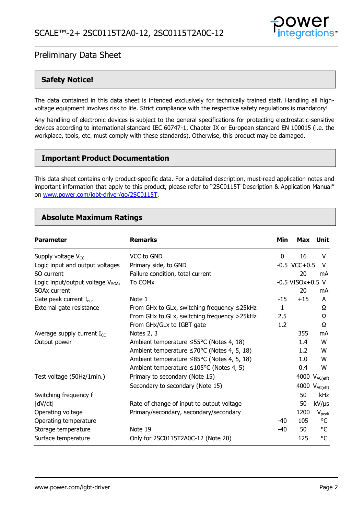

### **Safety Notice!**

The data contained in this data sheet is intended exclusively for technically trained staff. Handling all highvoltage equipment involves risk to life. Strict compliance with the respective safety regulations is mandatory!

Any handling of electronic devices is subject to the general specifications for protecting electrostatic-sensitive devices according to international standard IEC 60747-1, Chapter IX or European standard EN 100015 (i.e. the workplace, tools, etc. must comply with these standards). Otherwise, this product may be damaged.

### **Important Product Documentation**

This data sheet contains only product-specific data. For a detailed description, must-read application notes and important information that apply to this product, please refer to "2SC0115T Description & Application Manual" on [www.power.com/igbt-driver/go/2SC0115T.](http://www.power.com/igbt-driver/go/2SC0115T)

### **Absolute Maximum Ratings**

| <b>Parameter</b>                       | <b>Remarks</b>                                           | Min   |                       | Max Unit                  |
|----------------------------------------|----------------------------------------------------------|-------|-----------------------|---------------------------|
| Supply voltage $V_{CC}$                | VCC to GND                                               | 0     | 16                    | V                         |
| Logic input and output voltages        | Primary side, to GND                                     |       | $-0.5$ VCC $+0.5$     | V                         |
| SO current                             | Failure condition, total current                         |       | 20                    | mA                        |
| Logic input/output voltage $V_{SOAx}$  | To COMx                                                  |       | $-0.5$ VISOx $+0.5$ V |                           |
| <b>SOAx current</b>                    |                                                          |       | 20                    | mA                        |
| Gate peak current I <sub>out</sub>     | Note 1                                                   | $-15$ | $+15$                 | A                         |
| External gate resistance               | From GHx to GLx, switching frequency $\leq$ 25kHz        | 1     |                       | Ω                         |
|                                        | From GHx to GLx, switching frequency >25kHz              | 2.5   |                       | Ω                         |
|                                        | From GHx/GLx to IGBT gate                                | 1.2   |                       | Ω                         |
| Average supply current $I_{\text{cc}}$ | Notes 2, 3                                               |       | 355                   | mA                        |
| Output power                           | Ambient temperature ≤55°C (Notes 4, 18)                  |       | 1.4                   | W                         |
|                                        | Ambient temperature $\leq 70^{\circ}$ C (Notes 4, 5, 18) |       | 1.2                   | W                         |
|                                        | Ambient temperature ≤85°C (Notes 4, 5, 18)               |       | 1.0                   | W                         |
|                                        | Ambient temperature $\leq 105^{\circ}$ C (Notes 4, 5)    |       | 0.4                   | W                         |
| Test voltage (50Hz/1min.)              | Primary to secondary (Note 15)                           |       |                       | 4000 $V_{AC(eff)}$        |
|                                        | Secondary to secondary (Note 15)                         |       |                       | 4000 V <sub>AC(eff)</sub> |
| Switching frequency f                  |                                                          |       | 50                    | kHz                       |
| dV/dt                                  | Rate of change of input to output voltage                |       | 50                    | $kV/\mu s$                |
| Operating voltage                      | Primary/secondary, secondary/secondary                   |       | 1200                  | $V_{\rm peak}$            |
| Operating temperature                  |                                                          | -40   | 105                   | °C                        |
| Storage temperature                    | Note 19                                                  | -40   | 50                    | °C                        |
| Surface temperature                    | Only for 2SC0115T2A0C-12 (Note 20)                       |       | 125                   | °C                        |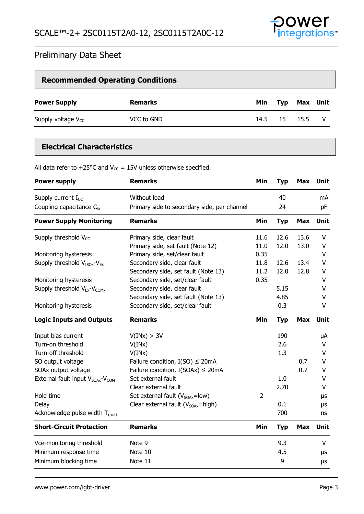

| <b>Recommended Operating Conditions</b> |                |     |              |              |  |
|-----------------------------------------|----------------|-----|--------------|--------------|--|
| <b>Power Supply</b>                     | <b>Remarks</b> | Min |              | Typ Max Unit |  |
| Supply voltage $V_{CC}$                 | VCC to GND     |     | 14.5 15 15.5 |              |  |

## **Electrical Characteristics**

All data refer to +25°C and  $V_{CC}$  = 15V unless otherwise specified.

| <b>Power supply</b>                                      | <b>Remarks</b>                              | Min            | Typ        | Max        | Unit        |
|----------------------------------------------------------|---------------------------------------------|----------------|------------|------------|-------------|
| Supply current $I_{CC}$                                  | Without load                                |                | 40         |            | mA          |
| Coupling capacitance C <sub>io</sub>                     | Primary side to secondary side, per channel |                | 24         |            | pF          |
| <b>Power Supply Monitoring</b>                           | <b>Remarks</b>                              | Min            | <b>Typ</b> | <b>Max</b> | <b>Unit</b> |
| Supply threshold $V_{CC}$                                | Primary side, clear fault                   | 11.6           | 12.6       | 13.6       | V           |
|                                                          | Primary side, set fault (Note 12)           | 11.0           | 12.0       | 13.0       | V           |
| Monitoring hysteresis                                    | Primary side, set/clear fault               | 0.35           |            |            | $\vee$      |
| Supply threshold $V_{ISOx}$ - $V_{Ex}$                   | Secondary side, clear fault                 | 11.8           | 12.6       | 13.4       | $\vee$      |
|                                                          | Secondary side, set fault (Note 13)         | 11.2           | 12.0       | 12.8       | V           |
| Monitoring hysteresis                                    | Secondary side, set/clear fault             | 0.35           |            |            | V           |
| Supply threshold $V_{Ex}$ - $V_{COMX}$                   | Secondary side, clear fault                 |                | 5.15       |            | v           |
|                                                          | Secondary side, set fault (Note 13)         |                | 4.85       |            | V           |
| Monitoring hysteresis                                    | Secondary side, set/clear fault             |                | 0.3        |            | V           |
| <b>Logic Inputs and Outputs</b>                          | <b>Remarks</b>                              | Min            | <b>Typ</b> | <b>Max</b> | <b>Unit</b> |
| Input bias current                                       | V(INx) > 3V                                 |                | 190        |            | μA          |
| Turn-on threshold                                        | V(INx)                                      |                | 2.6        |            | $\vee$      |
| Turn-off threshold                                       | V(INx)                                      |                | 1.3        |            | $\vee$      |
| SO output voltage                                        | Failure condition, $I(SO) \leq 20mA$        |                |            | 0.7        | $\vee$      |
| SOAx output voltage                                      | Failure condition, $I(SOAx) \leq 20mA$      |                |            | 0.7        | v           |
| External fault input V <sub>SOAx</sub> -V <sub>COM</sub> | Set external fault                          |                | 1.0        |            | V           |
|                                                          | Clear external fault                        |                | 2.70       |            | V           |
| Hold time                                                | Set external fault ( $V_{SOAx}$ =low)       | $\overline{2}$ |            |            | μs          |
| Delay                                                    | Clear external fault ( $V_{SOAx}$ =high)    |                | 0.1        |            | μs          |
| Acknowledge pulse width $T_{(ack)}$                      |                                             |                | 700        |            | ns          |
| <b>Short-Circuit Protection</b>                          | <b>Remarks</b>                              | Min            | <b>Typ</b> | <b>Max</b> | Unit        |
| Vce-monitoring threshold                                 | Note 9                                      |                | 9.3        |            | V           |
| Minimum response time                                    | Note 10                                     |                | 4.5        |            | μs          |
| Minimum blocking time                                    | Note 11                                     |                | 9          |            | μs          |
|                                                          |                                             |                |            |            |             |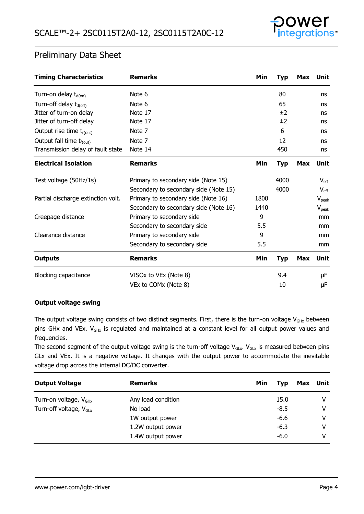

| <b>Timing Characteristics</b>        | <b>Remarks</b>                        | Min  | <b>Typ</b> | Max        | Unit          |
|--------------------------------------|---------------------------------------|------|------------|------------|---------------|
| Turn-on delay $t_{d(0n)}$            | Note 6                                |      | 80         |            | ns            |
| Turn-off delay $t_{d(\text{off})}$   | Note 6                                |      | 65         |            | ns            |
| Jitter of turn-on delay              | Note 17                               |      | ±2         |            | ns            |
| Jitter of turn-off delay             | Note 17                               |      | ±2         |            | ns            |
| Output rise time $t_{r(out)}$        | Note 7                                |      | 6          |            | ns            |
| Output fall time t <sub>f(out)</sub> | Note 7                                |      | 12         |            | ns            |
| Transmission delay of fault state    | Note 14                               |      | 450        |            | ns            |
| <b>Electrical Isolation</b>          | <b>Remarks</b>                        | Min  | Typ        | <b>Max</b> | Unit          |
| Test voltage (50Hz/1s)               | Primary to secondary side (Note 15)   |      | 4000       |            | $V_{\rm eff}$ |
|                                      | Secondary to secondary side (Note 15) |      | 4000       |            | $V_{\rm eff}$ |
| Partial discharge extinction volt.   | Primary to secondary side (Note 16)   | 1800 |            |            | $V_{peak}$    |
|                                      | Secondary to secondary side (Note 16) | 1440 |            |            | $V_{peak}$    |
| Creepage distance                    | Primary to secondary side             | 9    |            |            | mm            |
|                                      | Secondary to secondary side           | 5.5  |            |            | mm            |
| Clearance distance                   | Primary to secondary side             | 9    |            |            | mm            |
|                                      | Secondary to secondary side           | 5.5  |            |            | mm            |
| <b>Outputs</b>                       | <b>Remarks</b>                        | Min  | <b>Typ</b> | <b>Max</b> | Unit          |
| <b>Blocking capacitance</b>          | VISOx to VEx (Note 8)                 |      | 9.4        |            | μF            |
|                                      | VEx to COMx (Note 8)                  |      | 10         |            | μF            |

#### **Output voltage swing**

The output voltage swing consists of two distinct segments. First, there is the turn-on voltage  $V_{GHx}$  between pins GHx and VEx.  $V_{GHx}$  is regulated and maintained at a constant level for all output power values and frequencies.

The second segment of the output voltage swing is the turn-off voltage  $V_{GLx}$ .  $V_{GLx}$  is measured between pins GLx and VEx. It is a negative voltage. It changes with the output power to accommodate the inevitable voltage drop across the internal DC/DC converter.

| <b>Output Voltage</b>              | <b>Remarks</b>     | Min | Typ    | Max Unit |
|------------------------------------|--------------------|-----|--------|----------|
| Turn-on voltage, $V_{GHx}$         | Any load condition |     | 15.0   | v        |
| Turn-off voltage, $V_{\text{GLx}}$ | No load            |     | $-8.5$ | v        |
|                                    | 1W output power    |     | $-6.6$ | v        |
|                                    | 1.2W output power  |     | $-6.3$ | v        |
|                                    | 1.4W output power  |     | $-6.0$ | v        |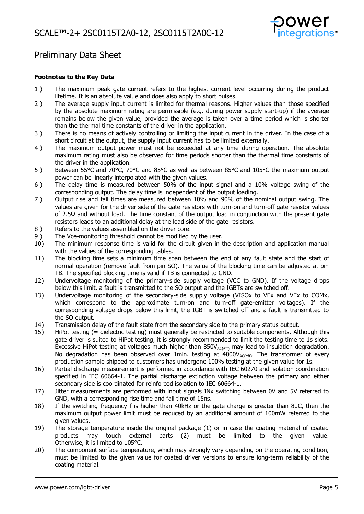

#### **Footnotes to the Key Data**

- <span id="page-4-0"></span>1 ) The maximum peak gate current refers to the highest current level occurring during the product lifetime. It is an absolute value and does also apply to short pulses.
- <span id="page-4-1"></span>2 ) The average supply input current is limited for thermal reasons. Higher values than those specified by the absolute maximum rating are permissible (e.g. during power supply start-up) if the average remains below the given value, provided the average is taken over a time period which is shorter than the thermal time constants of the driver in the application.
- <span id="page-4-2"></span>3 ) There is no means of actively controlling or limiting the input current in the driver. In the case of a short circuit at the output, the supply input current has to be limited externally.
- <span id="page-4-3"></span>4) The maximum output power must not be exceeded at any time during operation. The absolute maximum rating must also be observed for time periods shorter than the thermal time constants of the driver in the application.
- <span id="page-4-5"></span>5) Between 55°C and 70°C, 70°C and 85°C as well as between 85°C and 105°C the maximum output power can be linearly interpolated with the given values.
- <span id="page-4-14"></span>6 ) The delay time is measured between 50% of the input signal and a 10% voltage swing of the corresponding output. The delay time is independent of the output loading.
- <span id="page-4-16"></span>7 ) Output rise and fall times are measured between 10% and 90% of the nominal output swing. The values are given for the driver side of the gate resistors with turn-on and turn-off gate resistor values of 2.5Ω and without load. The time constant of the output load in conjunction with the present gate resistors leads to an additional delay at the load side of the gate resistors.
- 
- <span id="page-4-19"></span><span id="page-4-11"></span>8 ) Refers to the values assembled on the driver core.<br>9 ) The Vce-monitoring threshold cannot be modified b 9 ) The Vce-monitoring threshold cannot be modified by the user.<br>10) The minimum response time is valid for the circuit given in t
- <span id="page-4-12"></span>The minimum response time is valid for the circuit given in the description and application manual with the values of the corresponding tables.
- <span id="page-4-13"></span>11) The blocking time sets a minimum time span between the end of any fault state and the start of normal operation (remove fault from pin SO). The value of the blocking time can be adjusted at pin TB. The specified blocking time is valid if TB is connected to GND.
- <span id="page-4-9"></span>12) Undervoltage monitoring of the primary-side supply voltage (VCC to GND). If the voltage drops below this limit, a fault is transmitted to the SO output and the IGBTs are switched off.
- <span id="page-4-10"></span>13) Undervoltage monitoring of the secondary-side supply voltage (VISOx to VEx and VEx to COMx, which correspond to the approximate turn-on and turn-off gate-emitter voltages). If the corresponding voltage drops below this limit, the IGBT is switched off and a fault is transmitted to the SO output.
- <span id="page-4-17"></span>14) Transmission delay of the fault state from the secondary side to the primary status output.
- <span id="page-4-6"></span>15) HiPot testing (= dielectric testing) must generally be restricted to suitable components. Although this gate driver is suited to HiPot testing, it is strongly recommended to limit the testing time to 1s slots. Excessive HiPot testing at voltages much higher than  $850V_{AC(eff)}$  may lead to insulation degradation. No degradation has been observed over 1min. testing at  $4000V_{AC(eff)}$ . The transformer of every production sample shipped to customers has undergone 100% testing at the given value for 1s.
- <span id="page-4-18"></span>16) Partial discharge measurement is performed in accordance with IEC 60270 and isolation coordination specified in IEC 60664-1. The partial discharge extinction voltage between the primary and either secondary side is coordinated for reinforced isolation to IEC 60664-1.
- <span id="page-4-15"></span>17) Jitter measurements are performed with input signals INx switching between 0V and 5V referred to GND, with a corresponding rise time and fall time of 15ns.
- <span id="page-4-4"></span>18) If the switching frequency f is higher than 40kHz or the gate charge is greater than 8µC, then the maximum output power limit must be reduced by an additional amount of 100mW referred to the given values.
- <span id="page-4-7"></span>19) The storage temperature inside the original package (1) or in case the coating material of coated products may touch external parts (2) must be limited to the given value. Otherwise, it is limited to 105°C.
- <span id="page-4-8"></span>20) The component surface temperature, which may strongly vary depending on the operating condition, must be limited to the given value for coated driver versions to ensure long-term reliability of the coating material.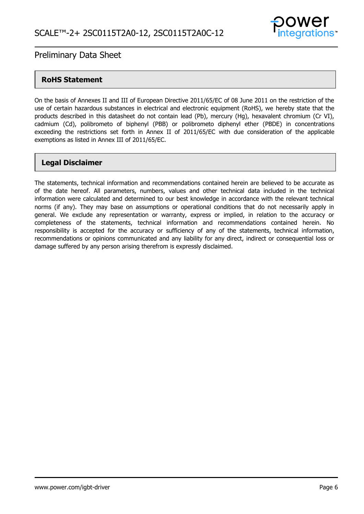

### **RoHS Statement**

On the basis of Annexes II and III of European Directive 2011/65/EC of 08 June 2011 on the restriction of the use of certain hazardous substances in electrical and electronic equipment (RoHS), we hereby state that the products described in this datasheet do not contain lead (Pb), mercury (Hg), hexavalent chromium (Cr VI), cadmium (Cd), polibrometo of biphenyl (PBB) or polibrometo diphenyl ether (PBDE) in concentrations exceeding the restrictions set forth in Annex II of 2011/65/EC with due consideration of the applicable exemptions as listed in Annex III of 2011/65/EC.

### **Legal Disclaimer**

The statements, technical information and recommendations contained herein are believed to be accurate as of the date hereof. All parameters, numbers, values and other technical data included in the technical information were calculated and determined to our best knowledge in accordance with the relevant technical norms (if any). They may base on assumptions or operational conditions that do not necessarily apply in general. We exclude any representation or warranty, express or implied, in relation to the accuracy or completeness of the statements, technical information and recommendations contained herein. No responsibility is accepted for the accuracy or sufficiency of any of the statements, technical information, recommendations or opinions communicated and any liability for any direct, indirect or consequential loss or damage suffered by any person arising therefrom is expressly disclaimed.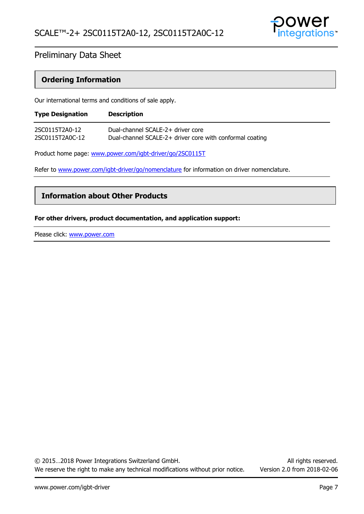

### **Ordering Information**

Our international terms and conditions of sale apply.

| <b>Type Designation</b> | <b>Description</b>                                       |
|-------------------------|----------------------------------------------------------|
| 2SC0115T2A0-12          | Dual-channel SCALE-2+ driver core                        |
| 2SC0115T2A0C-12         | Dual-channel SCALE-2+ driver core with conformal coating |

Product home page: [www.power.com/igbt-driver/go/2SC0115T](http://www.power.com/igbt-driver/go/2SC0115T)

Refer to [www.power.com/igbt-driver/go/nomenclature](http://www.power.com/igbt-driver/go/nomenclature) for information on driver nomenclature.

### **Information about Other Products**

#### **For other drivers, product documentation, and application support:**

Please click: [www.power.com](http://www.power.com/)

© 2015…2018 Power Integrations Switzerland GmbH. All rights reserved. We reserve the right to make any technical modifications without prior notice. Version 2.0 from 2018-02-06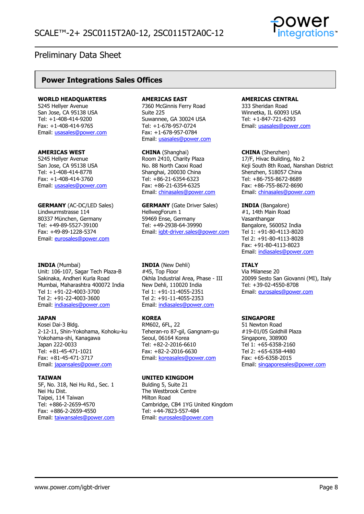### **Power Integrations Sales Offices**

#### **WORLD HEADQUARTERS**

5245 Hellyer Avenue San Jose, CA 95138 USA Tel: +1-408-414-9200 Fax: +1-408-414-9765 Email: [usasales@power.com](mailto:usasales@power.com)

#### **AMERICAS WEST**

5245 Hellyer Avenue San Jose, CA 95138 USA Tel: +1-408-414-8778 Fax: +1-408-414-3760 Email: [usasales@power.com](mailto:usasales@power.com)

**GERMANY** (AC-DC/LED Sales) Lindwurmstrasse 114 80337 München, Germany Tel: +49-89-5527-39100 Fax: +49-89-1228-5374 Email: [eurosales@power.com](mailto:eurosales@power.com)

#### **INDIA** (Mumbai)

Unit: 106-107, Sagar Tech Plaza-B Sakinaka, Andheri Kurla Road Mumbai, Maharashtra 400072 India Tel 1: +91-22-4003-3700 Tel 2: +91-22-4003-3600 Email: [indiasales@power.com](mailto:indiasales@power.com)

#### **JAPAN**

Kosei Dai-3 Bldg. 2-12-11, Shin-Yokohama, Kohoku-ku Yokohama-shi, Kanagawa Japan 222-0033 Tel: +81-45-471-1021 Fax: +81-45-471-3717 Email: [japansales@power.com](mailto:japansales@power.com)

#### **TAIWAN**

5F, No. 318, Nei Hu Rd., Sec. 1 Nei Hu Dist. Taipei, 114 Taiwan Tel: +886-2-2659-4570 Fax: +886-2-2659-4550 Email: [taiwansales@power.com](mailto:taiwansales@power.com)

#### **AMERICAS EAST**

7360 McGinnis Ferry Road Suite 225 Suwannee, GA 30024 USA Tel: +1-678-957-0724 Fax: +1-678-957-0784 Email: [usasales@power.com](mailto:usasales@power.com)

**CHINA** (Shanghai) Room 2410, Charity Plaza No. 88 North Caoxi Road Shanghai, 200030 China Tel: +86-21-6354-6323 Fax: +86-21-6354-6325 Email: [chinasales@power.com](mailto:chinasales@power.com)

**GERMANY** (Gate Driver Sales) HellwegForum 1 59469 Ense, Germany Tel: +49-2938-64-39990 Email: [igbt-driver.sales@power.com](mailto:igbt-driver.sales@power.com)

**INDIA** (New Dehli) #45, Top Floor Okhla Industrial Area, Phase - III New Dehli, 110020 India Tel 1: +91-11-4055-2351 Tel 2: +91-11-4055-2353 Email: [indiasales@power.com](mailto:indiasales@power.com)

#### **KOREA**

RM602, 6FL, 22 Teheran-ro 87-gil, Gangnam-gu Seoul, 06164 Korea Tel: +82-2-2016-6610 Fax: +82-2-2016-6630 Email: [koreasales@power.com](mailto:koreasales@power.com)

#### **UNITED KINGDOM**

Bulding 5, Suite 21 The Westbrook Centre Milton Road Cambridge, CB4 1YG United Kingdom Tel: +44-7823-557-484 Email: [eurosales@power.com](mailto:eurosales@power.com)

#### **AMERICAS CENTRAL**

333 Sheridan Road Winnetka, IL 60093 USA Tel: +1-847-721-6293 Email: [usasales@power.com](mailto:usasales@power.com)

**CHINA** (Shenzhen) 17/F, Hivac Building, No 2 Keji South 8th Road, Nanshan District Shenzhen, 518057 China Tel: +86-755-8672-8689 Fax: +86-755-8672-8690 Email: [chinasales@power.com](mailto:chinasales@power.com)

**INDIA** (Bangalore) #1, 14th Main Road Vasanthangar Bangalore, 560052 India Tel 1: +91-80-4113-8020 Tel 2: +91-80-4113-8028 Fax: +91-80-4113-8023 Email: [indiasales@power.com](mailto:indiasales@power.com)

#### **ITALY**

Via Milanese 20 20099 Sesto San Giovanni (MI), Italy Tel: +39-02-4550-8708 Email: [eurosales@power.com](mailto:eurosales@power.com)

#### **SINGAPORE**

51 Newton Road #19-01/05 Goldhill Plaza Singapore, 308900 Tel 1: +65-6358-2160 Tel 2: +65-6358-4480 Fax: +65-6358-2015 Email: [singaporesales@power.com](mailto:singaporesales@power.com)